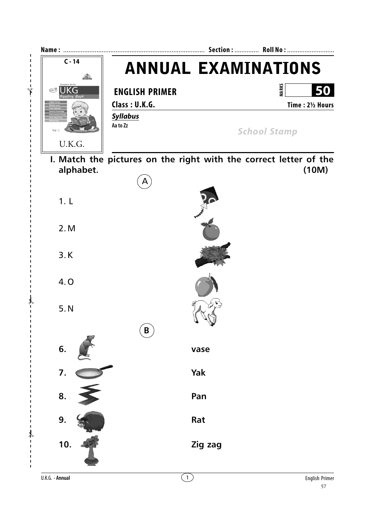

U.K.G. - Annual

 $\mathbf{I}$  $\mathbf I$ 

 $\overline{1}$ 

 $\overline{\phantom{a}}$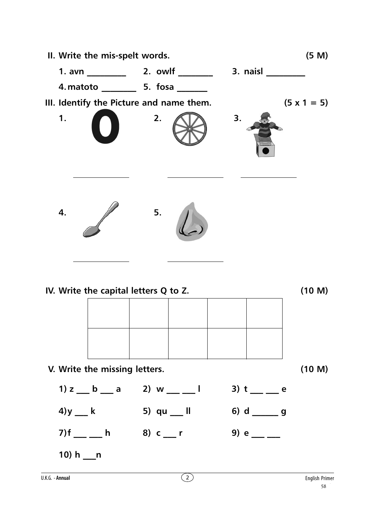

| V. Write the missing letters. |                            |                  | (10 M) |
|-------------------------------|----------------------------|------------------|--------|
|                               | 1) z b a 2) w i b 3) t e e |                  |        |
| $4$ )y k                      | 5) qu __ II                | 6) $d$ _______ g |        |
| 7)f __ __ h                   | 8) c r                     | 9) e             |        |

**10) h \_\_\_n**